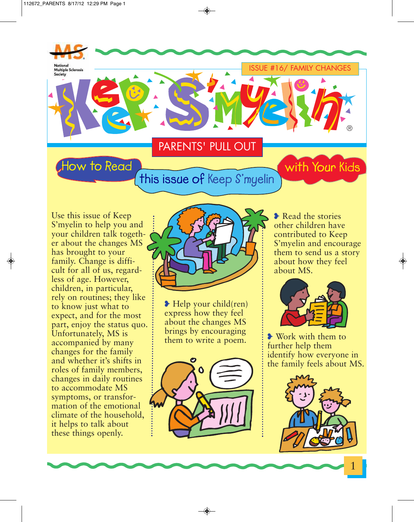

Use this issue of Keep S'myelin to help you and your children talk together about the changes MS has brought to your family. Change is difficult for all of us, regardless of age. However, children, in particular, rely on routines; they like to know just what to expect, and for the most part, enjoy the status quo. Unfortunately, MS is accompanied by many changes for the family and whether it's shifts in roles of family members, changes in daily routines to accommodate MS symptoms, or transformation of the emotional climate of the household, it helps to talk about these things openly.



**❥** Help your child(ren) express how they feel about the changes MS brings by encouraging them to write a poem.  $\frac{1}{2}$  Work with them to



**❥** Read the stories other children have contributed to Keep S'myelin and encourage them to send us a story about how they feel about MS.



further help them identify how everyone in the family feels about MS.



1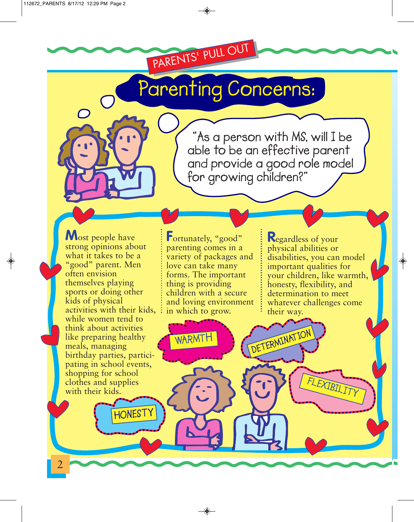## **Parenting Concerns:**

PARENTS' PULL OUT

**"As a person with MS, will I be able to be an effective parent and provide a good role model for growing children?"**

**DETERMINATION**

**M**ost people have strong opinions about what it takes to be a "good" parent. Men often envision themselves playing sports or doing other kids of physical activities with their kids, while women tend to think about activities like preparing healthy meals, managing birthday parties, participating in school events, shopping for school clothes and supplies with their kids.

**HONESTY**

2

Fortunately, "good" parenting comes in a variety of packages and love can take many forms. The important thing is providing children with a secure and loving environment in which to grow.

◈

WARN

**R**egardless of your physical abilities or disabilities, you can model important qualities for your children, like warmth, honesty, flexibility, and determination to meet whatever challenges come their way.

 $\bigoplus$ 

**FLEXIBILITY**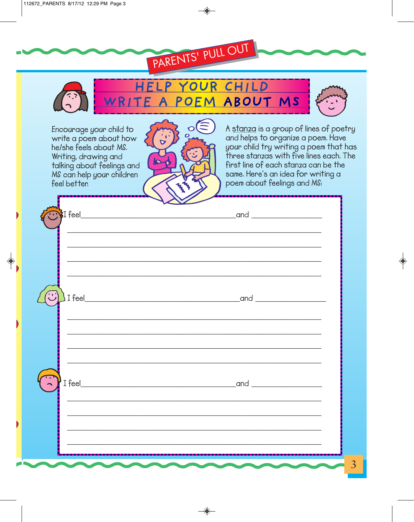

| $\mathsf{I}$ I feel_<br>$\overline{\phantom{a}}$ |                                               | _and |  |
|--------------------------------------------------|-----------------------------------------------|------|--|
|                                                  |                                               |      |  |
|                                                  |                                               |      |  |
| D.                                               | $\overline{\phantom{a}}$<br><b>CONTRACTOR</b> |      |  |

◈